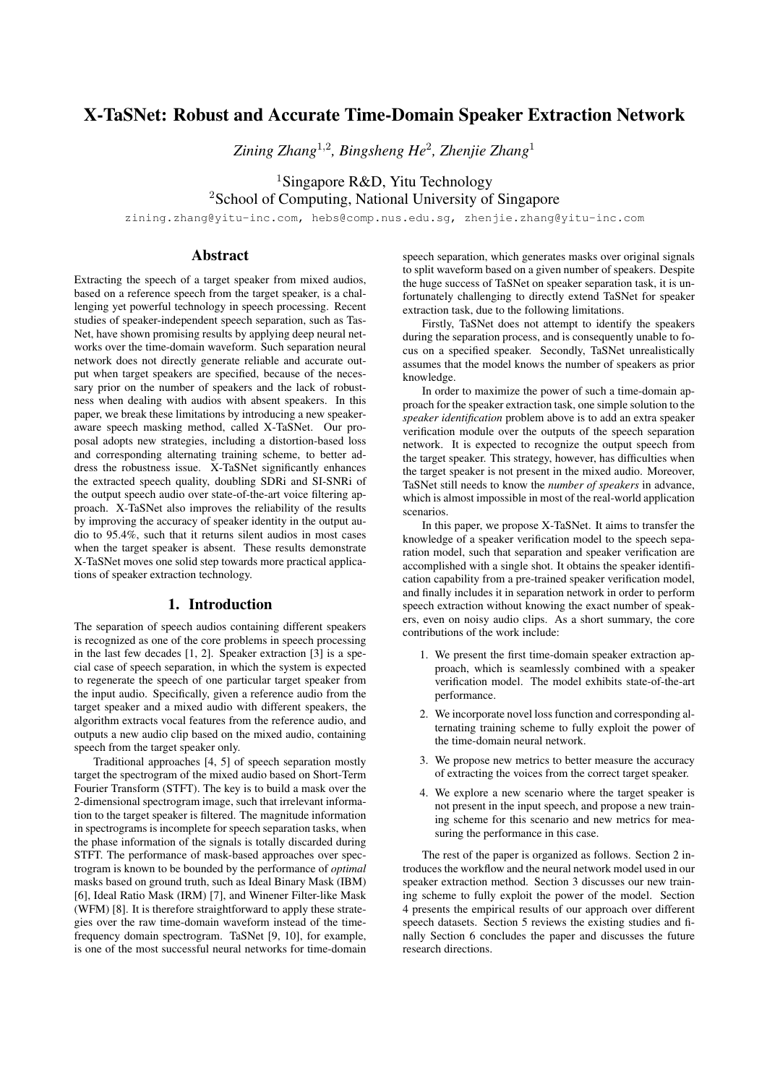# X-TaSNet: Robust and Accurate Time-Domain Speaker Extraction Network

*Zining Zhang*<sup>1</sup>,<sup>2</sup> *, Bingsheng He*<sup>2</sup> *, Zhenjie Zhang*<sup>1</sup>

<sup>1</sup>Singapore R&D, Yitu Technology

<sup>2</sup>School of Computing, National University of Singapore

zining.zhang@yitu-inc.com, hebs@comp.nus.edu.sg, zhenjie.zhang@yitu-inc.com

## Abstract

Extracting the speech of a target speaker from mixed audios, based on a reference speech from the target speaker, is a challenging yet powerful technology in speech processing. Recent studies of speaker-independent speech separation, such as Tas-Net, have shown promising results by applying deep neural networks over the time-domain waveform. Such separation neural network does not directly generate reliable and accurate output when target speakers are specified, because of the necessary prior on the number of speakers and the lack of robustness when dealing with audios with absent speakers. In this paper, we break these limitations by introducing a new speakeraware speech masking method, called X-TaSNet. Our proposal adopts new strategies, including a distortion-based loss and corresponding alternating training scheme, to better address the robustness issue. X-TaSNet significantly enhances the extracted speech quality, doubling SDRi and SI-SNRi of the output speech audio over state-of-the-art voice filtering approach. X-TaSNet also improves the reliability of the results by improving the accuracy of speaker identity in the output audio to 95.4%, such that it returns silent audios in most cases when the target speaker is absent. These results demonstrate X-TaSNet moves one solid step towards more practical applications of speaker extraction technology.

#### 1. Introduction

The separation of speech audios containing different speakers is recognized as one of the core problems in speech processing in the last few decades [\[1,](#page-4-0) [2\]](#page-4-1). Speaker extraction [\[3\]](#page-4-2) is a special case of speech separation, in which the system is expected to regenerate the speech of one particular target speaker from the input audio. Specifically, given a reference audio from the target speaker and a mixed audio with different speakers, the algorithm extracts vocal features from the reference audio, and outputs a new audio clip based on the mixed audio, containing speech from the target speaker only.

Traditional approaches [\[4,](#page-4-3) [5\]](#page-4-4) of speech separation mostly target the spectrogram of the mixed audio based on Short-Term Fourier Transform (STFT). The key is to build a mask over the 2-dimensional spectrogram image, such that irrelevant information to the target speaker is filtered. The magnitude information in spectrograms is incomplete for speech separation tasks, when the phase information of the signals is totally discarded during STFT. The performance of mask-based approaches over spectrogram is known to be bounded by the performance of *optimal* masks based on ground truth, such as Ideal Binary Mask (IBM) [\[6\]](#page-4-5), Ideal Ratio Mask (IRM) [\[7\]](#page-4-6), and Winener Filter-like Mask (WFM) [\[8\]](#page-4-7). It is therefore straightforward to apply these strategies over the raw time-domain waveform instead of the timefrequency domain spectrogram. TaSNet [\[9,](#page-4-8) [10\]](#page-4-9), for example, is one of the most successful neural networks for time-domain speech separation, which generates masks over original signals to split waveform based on a given number of speakers. Despite the huge success of TaSNet on speaker separation task, it is unfortunately challenging to directly extend TaSNet for speaker extraction task, due to the following limitations.

Firstly, TaSNet does not attempt to identify the speakers during the separation process, and is consequently unable to focus on a specified speaker. Secondly, TaSNet unrealistically assumes that the model knows the number of speakers as prior knowledge.

In order to maximize the power of such a time-domain approach for the speaker extraction task, one simple solution to the *speaker identification* problem above is to add an extra speaker verification module over the outputs of the speech separation network. It is expected to recognize the output speech from the target speaker. This strategy, however, has difficulties when the target speaker is not present in the mixed audio. Moreover, TaSNet still needs to know the *number of speakers* in advance, which is almost impossible in most of the real-world application scenarios.

In this paper, we propose X-TaSNet. It aims to transfer the knowledge of a speaker verification model to the speech separation model, such that separation and speaker verification are accomplished with a single shot. It obtains the speaker identification capability from a pre-trained speaker verification model, and finally includes it in separation network in order to perform speech extraction without knowing the exact number of speakers, even on noisy audio clips. As a short summary, the core contributions of the work include:

- 1. We present the first time-domain speaker extraction approach, which is seamlessly combined with a speaker verification model. The model exhibits state-of-the-art performance.
- 2. We incorporate novel loss function and corresponding alternating training scheme to fully exploit the power of the time-domain neural network.
- 3. We propose new metrics to better measure the accuracy of extracting the voices from the correct target speaker.
- 4. We explore a new scenario where the target speaker is not present in the input speech, and propose a new training scheme for this scenario and new metrics for measuring the performance in this case.

The rest of the paper is organized as follows. Section [2](#page-1-0) introduces the workflow and the neural network model used in our speaker extraction method. Section [3](#page-1-1) discusses our new training scheme to fully exploit the power of the model. Section [4](#page-2-0) presents the empirical results of our approach over different speech datasets. Section [5](#page-3-0) reviews the existing studies and finally Section [6](#page-3-1) concludes the paper and discusses the future research directions.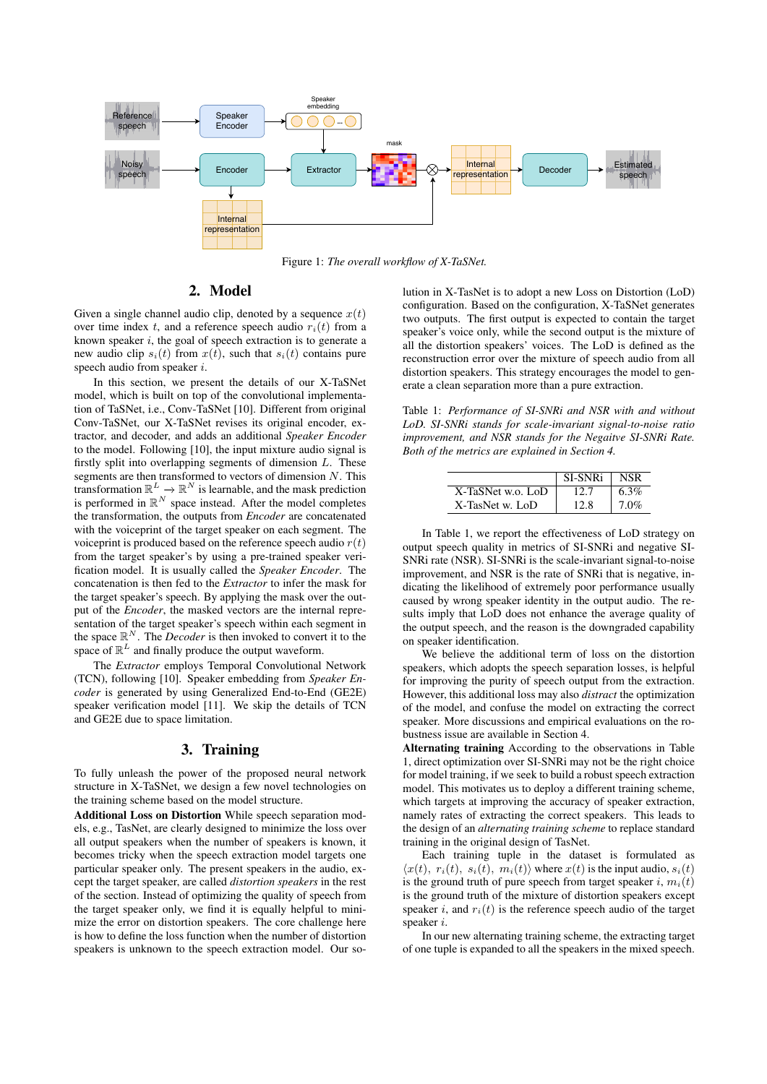

Figure 1: *The overall workflow of X-TaSNet.*

### 2. Model

<span id="page-1-0"></span>Given a single channel audio clip, denoted by a sequence  $x(t)$ over time index t, and a reference speech audio  $r_i(t)$  from a known speaker  $i$ , the goal of speech extraction is to generate a new audio clip  $s_i(t)$  from  $x(t)$ , such that  $s_i(t)$  contains pure speech audio from speaker i.

In this section, we present the details of our X-TaSNet model, which is built on top of the convolutional implementation of TaSNet, i.e., Conv-TaSNet [\[10\]](#page-4-9). Different from original Conv-TaSNet, our X-TaSNet revises its original encoder, extractor, and decoder, and adds an additional *Speaker Encoder* to the model. Following [\[10\]](#page-4-9), the input mixture audio signal is firstly split into overlapping segments of dimension  $L$ . These segments are then transformed to vectors of dimension  $N$ . This transformation  $\mathbb{R}^L \to \mathbb{R}^N$  is learnable, and the mask prediction is performed in  $\mathbb{R}^N$  space instead. After the model completes the transformation, the outputs from *Encoder* are concatenated with the voiceprint of the target speaker on each segment. The voiceprint is produced based on the reference speech audio  $r(t)$ from the target speaker's by using a pre-trained speaker verification model. It is usually called the *Speaker Encoder*. The concatenation is then fed to the *Extractor* to infer the mask for the target speaker's speech. By applying the mask over the output of the *Encoder*, the masked vectors are the internal representation of the target speaker's speech within each segment in the space  $\mathbb{R}^N$ . The *Decoder* is then invoked to convert it to the space of  $\mathbb{R}^L$  and finally produce the output waveform.

The *Extractor* employs Temporal Convolutional Network (TCN), following [\[10\]](#page-4-9). Speaker embedding from *Speaker Encoder* is generated by using Generalized End-to-End (GE2E) speaker verification model [\[11\]](#page-4-10). We skip the details of TCN and GE2E due to space limitation.

#### 3. Training

<span id="page-1-1"></span>To fully unleash the power of the proposed neural network structure in X-TaSNet, we design a few novel technologies on the training scheme based on the model structure.

Additional Loss on Distortion While speech separation models, e.g., TasNet, are clearly designed to minimize the loss over all output speakers when the number of speakers is known, it becomes tricky when the speech extraction model targets one particular speaker only. The present speakers in the audio, except the target speaker, are called *distortion speakers* in the rest of the section. Instead of optimizing the quality of speech from the target speaker only, we find it is equally helpful to minimize the error on distortion speakers. The core challenge here is how to define the loss function when the number of distortion speakers is unknown to the speech extraction model. Our solution in X-TasNet is to adopt a new Loss on Distortion (LoD) configuration. Based on the configuration, X-TaSNet generates two outputs. The first output is expected to contain the target speaker's voice only, while the second output is the mixture of all the distortion speakers' voices. The LoD is defined as the reconstruction error over the mixture of speech audio from all distortion speakers. This strategy encourages the model to generate a clean separation more than a pure extraction.

<span id="page-1-2"></span>Table 1: *Performance of SI-SNRi and NSR with and without LoD. SI-SNRi stands for scale-invariant signal-to-noise ratio improvement, and NSR stands for the Negaitve SI-SNRi Rate. Both of the metrics are explained in Section [4.](#page-2-0)*

|                   | SI-SNRi | NSR     |
|-------------------|---------|---------|
| X-TaSNet w.o. LoD | 12.7    | $6.3\%$ |
| X-TasNet w. LoD   | 12.8    | $7.0\%$ |

In Table [1,](#page-1-2) we report the effectiveness of LoD strategy on output speech quality in metrics of SI-SNRi and negative SI-SNRi rate (NSR). SI-SNRi is the scale-invariant signal-to-noise improvement, and NSR is the rate of SNRi that is negative, indicating the likelihood of extremely poor performance usually caused by wrong speaker identity in the output audio. The results imply that LoD does not enhance the average quality of the output speech, and the reason is the downgraded capability on speaker identification.

We believe the additional term of loss on the distortion speakers, which adopts the speech separation losses, is helpful for improving the purity of speech output from the extraction. However, this additional loss may also *distract* the optimization of the model, and confuse the model on extracting the correct speaker. More discussions and empirical evaluations on the robustness issue are available in Section [4.](#page-2-0)

Alternating training According to the observations in Table [1,](#page-1-2) direct optimization over SI-SNRi may not be the right choice for model training, if we seek to build a robust speech extraction model. This motivates us to deploy a different training scheme, which targets at improving the accuracy of speaker extraction, namely rates of extracting the correct speakers. This leads to the design of an *alternating training scheme* to replace standard training in the original design of TasNet.

Each training tuple in the dataset is formulated as  $\langle x(t), r_i(t), s_i(t), m_i(t) \rangle$  where  $x(t)$  is the input audio,  $s_i(t)$ is the ground truth of pure speech from target speaker i,  $m_i(t)$ is the ground truth of the mixture of distortion speakers except speaker i, and  $r_i(t)$  is the reference speech audio of the target speaker i.

In our new alternating training scheme, the extracting target of one tuple is expanded to all the speakers in the mixed speech.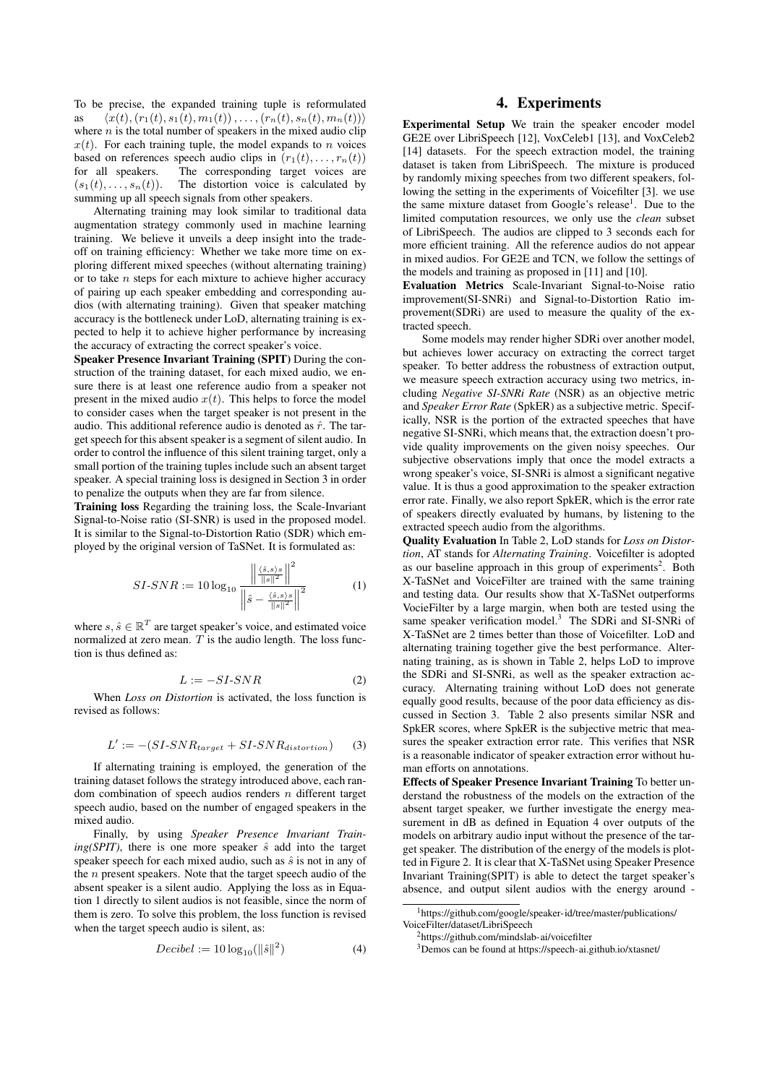To be precise, the expanded training tuple is reformulated as  $\langle x(t), (r_1(t), s_1(t), m_1(t)), \ldots, (r_n(t), s_n(t), m_n(t))\rangle$ where  $n$  is the total number of speakers in the mixed audio clip  $x(t)$ . For each training tuple, the model expands to *n* voices based on references speech audio clips in  $(r_1(t), \ldots, r_n(t))$ for all speakers. The corresponding target voices are  $(s_1(t), \ldots, s_n(t))$ . The distortion voice is calculated by summing up all speech signals from other speakers.

Alternating training may look similar to traditional data augmentation strategy commonly used in machine learning training. We believe it unveils a deep insight into the tradeoff on training efficiency: Whether we take more time on exploring different mixed speeches (without alternating training) or to take  $n$  steps for each mixture to achieve higher accuracy of pairing up each speaker embedding and corresponding audios (with alternating training). Given that speaker matching accuracy is the bottleneck under LoD, alternating training is expected to help it to achieve higher performance by increasing the accuracy of extracting the correct speaker's voice.

Speaker Presence Invariant Training (SPIT) During the construction of the training dataset, for each mixed audio, we ensure there is at least one reference audio from a speaker not present in the mixed audio  $x(t)$ . This helps to force the model to consider cases when the target speaker is not present in the audio. This additional reference audio is denoted as  $\hat{r}$ . The target speech for this absent speaker is a segment of silent audio. In order to control the influence of this silent training target, only a small portion of the training tuples include such an absent target speaker. A special training loss is designed in Section [3](#page-1-2) in order to penalize the outputs when they are far from silence.

Training loss Regarding the training loss, the Scale-Invariant Signal-to-Noise ratio (SI-SNR) is used in the proposed model. It is similar to the Signal-to-Distortion Ratio (SDR) which employed by the original version of TaSNet. It is formulated as:

<span id="page-2-1"></span>
$$
SI-SNR := 10 \log_{10} \frac{\left\| \frac{\langle \hat{s}, s \rangle s}{\|s\|^2} \right\|^2}{\left\| \hat{s} - \frac{\langle \hat{s}, s \rangle s}{\|s\|^2} \right\|^2}
$$
(1)

where  $s, \hat{s} \in \mathbb{R}^T$  are target speaker's voice, and estimated voice normalized at zero mean.  $\hat{T}$  is the audio length. The loss function is thus defined as:

$$
L := -SI-SNR \tag{2}
$$

When *Loss on Distortion* is activated, the loss function is revised as follows:

$$
L' := -(SI\text{-}SNR_{target} + SI\text{-}SNR_{distortion}) \tag{3}
$$

If alternating training is employed, the generation of the training dataset follows the strategy introduced above, each random combination of speech audios renders  $n$  different target speech audio, based on the number of engaged speakers in the mixed audio.

Finally, by using *Speaker Presence Invariant Train* $ing(SPIT)$ , there is one more speaker  $\hat{s}$  add into the target speaker speech for each mixed audio, such as  $\hat{s}$  is not in any of the  $n$  present speakers. Note that the target speech audio of the absent speaker is a silent audio. Applying the loss as in Equation [1](#page-2-1) directly to silent audios is not feasible, since the norm of them is zero. To solve this problem, the loss function is revised when the target speech audio is silent, as:

<span id="page-2-5"></span>
$$
Decibel := 10 \log_{10} (\|\hat{s}\|^2)
$$
 (4)

#### 4. Experiments

<span id="page-2-0"></span>Experimental Setup We train the speaker encoder model GE2E over LibriSpeech [\[12\]](#page-4-11), VoxCeleb1 [\[13\]](#page-4-12), and VoxCeleb2 [\[14\]](#page-4-13) datasets. For the speech extraction model, the training dataset is taken from LibriSpeech. The mixture is produced by randomly mixing speeches from two different speakers, following the setting in the experiments of Voicefilter [\[3\]](#page-4-2). we use the same mixture dataset from Google's release<sup>[1](#page-2-2)</sup>. Due to the limited computation resources, we only use the *clean* subset of LibriSpeech. The audios are clipped to 3 seconds each for more efficient training. All the reference audios do not appear in mixed audios. For GE2E and TCN, we follow the settings of the models and training as proposed in [\[11\]](#page-4-10) and [\[10\]](#page-4-9).

Evaluation Metrics Scale-Invariant Signal-to-Noise ratio improvement(SI-SNRi) and Signal-to-Distortion Ratio improvement(SDRi) are used to measure the quality of the extracted speech.

Some models may render higher SDRi over another model, but achieves lower accuracy on extracting the correct target speaker. To better address the robustness of extraction output, we measure speech extraction accuracy using two metrics, including *Negative SI-SNRi Rate* (NSR) as an objective metric and *Speaker Error Rate* (SpkER) as a subjective metric. Specifically, NSR is the portion of the extracted speeches that have negative SI-SNRi, which means that, the extraction doesn't provide quality improvements on the given noisy speeches. Our subjective observations imply that once the model extracts a wrong speaker's voice, SI-SNRi is almost a significant negative value. It is thus a good approximation to the speaker extraction error rate. Finally, we also report SpkER, which is the error rate of speakers directly evaluated by humans, by listening to the extracted speech audio from the algorithms.

Quality Evaluation In Table [2,](#page-3-2) LoD stands for *Loss on Distortion*, AT stands for *Alternating Training*. Voicefilter is adopted as our baseline approach in this group of experiments<sup>[2](#page-2-3)</sup>. Both X-TaSNet and VoiceFilter are trained with the same training and testing data. Our results show that X-TaSNet outperforms VocieFilter by a large margin, when both are tested using the same speaker verification model.<sup>[3](#page-2-4)</sup> The SDRi and SI-SNRi of X-TaSNet are 2 times better than those of Voicefilter. LoD and alternating training together give the best performance. Alternating training, as is shown in Table [2,](#page-3-2) helps LoD to improve the SDRi and SI-SNRi, as well as the speaker extraction accuracy. Alternating training without LoD does not generate equally good results, because of the poor data efficiency as discussed in Section [3.](#page-1-1) Table [2](#page-3-2) also presents similar NSR and SpkER scores, where SpkER is the subjective metric that measures the speaker extraction error rate. This verifies that NSR is a reasonable indicator of speaker extraction error without human efforts on annotations.

Effects of Speaker Presence Invariant Training To better understand the robustness of the models on the extraction of the absent target speaker, we further investigate the energy measurement in dB as defined in Equation [4](#page-2-5) over outputs of the models on arbitrary audio input without the presence of the target speaker. The distribution of the energy of the models is plotted in Figure [2.](#page-3-3) It is clear that X-TaSNet using Speaker Presence Invariant Training(SPIT) is able to detect the target speaker's absence, and output silent audios with the energy around -

<span id="page-2-2"></span><sup>1</sup>[https://github.com/google/speaker-id/tree/master/publications/](https://github.com/google/speaker-id/tree/master/publications/VoiceFilter/dataset/LibriSpeech) [VoiceFilter/dataset/LibriSpeech](https://github.com/google/speaker-id/tree/master/publications/VoiceFilter/dataset/LibriSpeech)

<span id="page-2-3"></span><sup>2</sup><https://github.com/mindslab-ai/voicefilter>

<span id="page-2-4"></span><sup>3</sup>Demos can be found at<https://speech-ai.github.io/xtasnet/>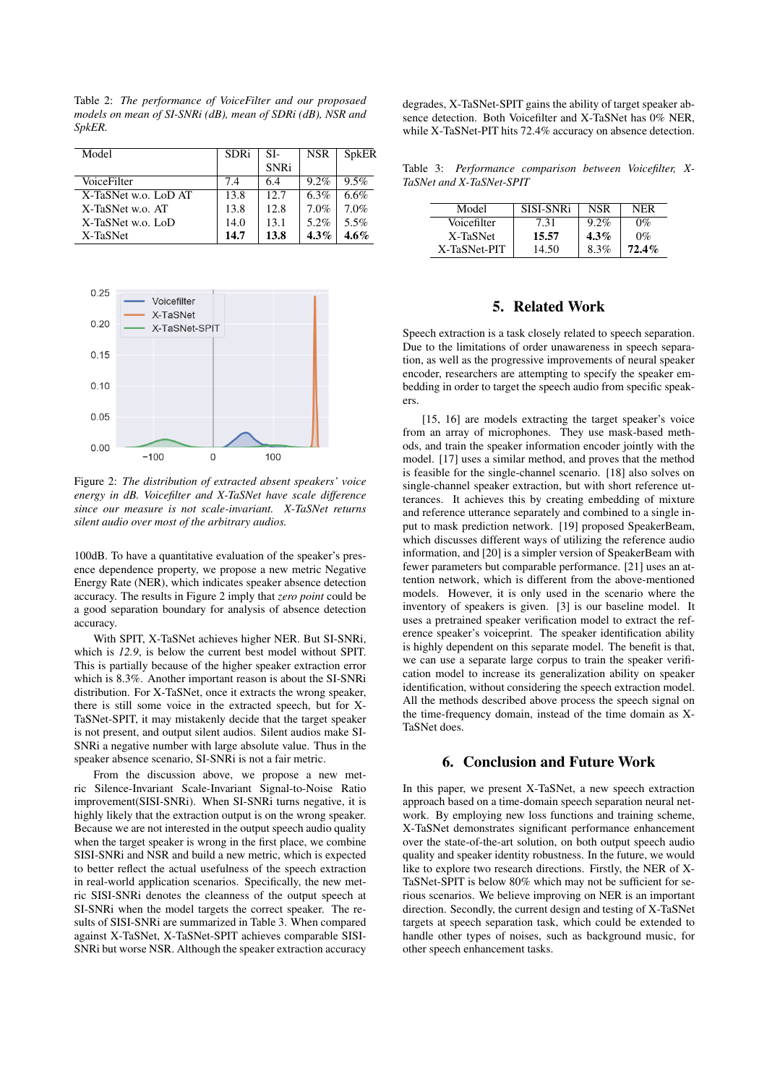<span id="page-3-2"></span>Table 2: *The performance of VoiceFilter and our proposaed models on mean of SI-SNRi (dB), mean of SDRi (dB), NSR and SpkER.*

| Model                | <b>SDRi</b> | SI-         | <b>NSR</b> | SpkER   |
|----------------------|-------------|-------------|------------|---------|
|                      |             | <b>SNRi</b> |            |         |
| VoiceFilter          | 7.4         | 6.4         | $9.2\%$    | $9.5\%$ |
| X-TaSNet w.o. LoD AT | 13.8        | 12.7        | 6.3%       | 6.6%    |
| X-TaSNet w.o. AT     | 13.8        | 12.8        | $7.0\%$    | 7.0%    |
| X-TaSNet w.o. LoD    | 14.0        | 13.1        | 5.2%       | 5.5%    |
| X-TaSNet             | 14.7        | 13.8        | $4.3\%$    | 4.6%    |

<span id="page-3-3"></span>

Figure 2: *The distribution of extracted absent speakers' voice energy in dB. Voicefilter and X-TaSNet have scale difference since our measure is not scale-invariant. X-TaSNet returns silent audio over most of the arbitrary audios.*

100dB. To have a quantitative evaluation of the speaker's presence dependence property, we propose a new metric Negative Energy Rate (NER), which indicates speaker absence detection accuracy. The results in Figure [2](#page-3-3) imply that *zero point* could be a good separation boundary for analysis of absence detection accuracy.

With SPIT, X-TaSNet achieves higher NER. But SI-SNRi, which is *12.9*, is below the current best model without SPIT. This is partially because of the higher speaker extraction error which is 8.3%. Another important reason is about the SI-SNRi distribution. For X-TaSNet, once it extracts the wrong speaker, there is still some voice in the extracted speech, but for X-TaSNet-SPIT, it may mistakenly decide that the target speaker is not present, and output silent audios. Silent audios make SI-SNRi a negative number with large absolute value. Thus in the speaker absence scenario, SI-SNRi is not a fair metric.

From the discussion above, we propose a new metric Silence-Invariant Scale-Invariant Signal-to-Noise Ratio improvement(SISI-SNRi). When SI-SNRi turns negative, it is highly likely that the extraction output is on the wrong speaker. Because we are not interested in the output speech audio quality when the target speaker is wrong in the first place, we combine SISI-SNRi and NSR and build a new metric, which is expected to better reflect the actual usefulness of the speech extraction in real-world application scenarios. Specifically, the new metric SISI-SNRi denotes the cleanness of the output speech at SI-SNRi when the model targets the correct speaker. The results of SISI-SNRi are summarized in Table [3.](#page-3-4) When compared against X-TaSNet, X-TaSNet-SPIT achieves comparable SISI-SNRi but worse NSR. Although the speaker extraction accuracy degrades, X-TaSNet-SPIT gains the ability of target speaker absence detection. Both Voicefilter and X-TaSNet has 0% NER, while X-TaSNet-PIT hits 72.4% accuracy on absence detection.

<span id="page-3-4"></span>Table 3: *Performance comparison between Voicefilter, X-TaSNet and X-TaSNet-SPIT*

| Model        | <b>SISL-SNRi</b> | NSR     | NFR      |
|--------------|------------------|---------|----------|
| Voicefilter  | 7.31             | $9.2\%$ | $0\%$    |
| X-TaSNet     | 15.57            | $4.3\%$ | $0\%$    |
| X-TaSNet-PIT | 14.50            | 8.3%    | $72.4\%$ |

### 5. Related Work

<span id="page-3-0"></span>Speech extraction is a task closely related to speech separation. Due to the limitations of order unawareness in speech separation, as well as the progressive improvements of neural speaker encoder, researchers are attempting to specify the speaker embedding in order to target the speech audio from specific speakers.

[\[15,](#page-4-14) [16\]](#page-4-15) are models extracting the target speaker's voice from an array of microphones. They use mask-based methods, and train the speaker information encoder jointly with the model. [\[17\]](#page-4-16) uses a similar method, and proves that the method is feasible for the single-channel scenario. [\[18\]](#page-4-17) also solves on single-channel speaker extraction, but with short reference utterances. It achieves this by creating embedding of mixture and reference utterance separately and combined to a single input to mask prediction network. [\[19\]](#page-4-18) proposed SpeakerBeam, which discusses different ways of utilizing the reference audio information, and [\[20\]](#page-4-19) is a simpler version of SpeakerBeam with fewer parameters but comparable performance. [\[21\]](#page-4-20) uses an attention network, which is different from the above-mentioned models. However, it is only used in the scenario where the inventory of speakers is given. [\[3\]](#page-4-2) is our baseline model. It uses a pretrained speaker verification model to extract the reference speaker's voiceprint. The speaker identification ability is highly dependent on this separate model. The benefit is that, we can use a separate large corpus to train the speaker verification model to increase its generalization ability on speaker identification, without considering the speech extraction model. All the methods described above process the speech signal on the time-frequency domain, instead of the time domain as X-TaSNet does.

### 6. Conclusion and Future Work

<span id="page-3-1"></span>In this paper, we present X-TaSNet, a new speech extraction approach based on a time-domain speech separation neural network. By employing new loss functions and training scheme, X-TaSNet demonstrates significant performance enhancement over the state-of-the-art solution, on both output speech audio quality and speaker identity robustness. In the future, we would like to explore two research directions. Firstly, the NER of X-TaSNet-SPIT is below 80% which may not be sufficient for serious scenarios. We believe improving on NER is an important direction. Secondly, the current design and testing of X-TaSNet targets at speech separation task, which could be extended to handle other types of noises, such as background music, for other speech enhancement tasks.